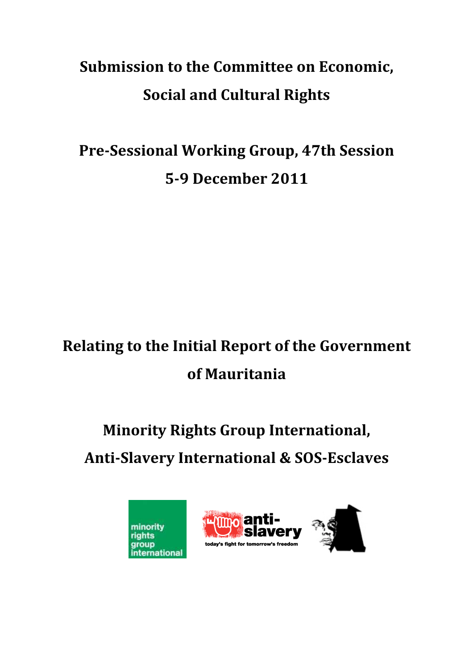## **Submission to the Committee on Economic, Social and Cultural Rights**

## **Pre-Sessional Working Group, 47th Session 5-9 December 2011**

## **Relating to the Initial Report of the Government of Mauritania**

# **Minority Rights Group International, Anti-Slavery International & SOS-Esclaves**



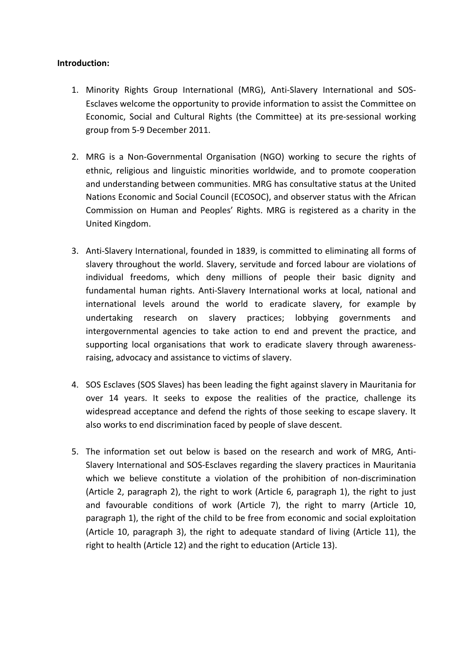## **Introduction:**

- 1. Minority Rights Group International (MRG), Anti-Slavery International and SOS-Esclaves welcome the opportunity to provide information to assist the Committee on Economic, Social and Cultural Rights (the Committee) at its pre-sessional working group from 5-9 December 2011.
- 2. MRG is a Non-Governmental Organisation (NGO) working to secure the rights of ethnic, religious and linguistic minorities worldwide, and to promote cooperation and understanding between communities. MRG has consultative status at the United Nations Economic and Social Council (ECOSOC), and observer status with the African Commission on Human and Peoples' Rights. MRG is registered as a charity in the United Kingdom.
- 3. Anti-Slavery International, founded in 1839, is committed to eliminating all forms of slavery throughout the world. Slavery, servitude and forced labour are violations of individual freedoms, which deny millions of people their basic dignity and fundamental human rights. Anti-Slavery International works at local, national and international levels around the world to eradicate slavery, for example by undertaking research on slavery practices; lobbying governments and intergovernmental agencies to take action to end and prevent the practice, and supporting local organisations that work to eradicate slavery through awarenessraising, advocacy and assistance to victims of slavery.
- 4. SOS Esclaves (SOS Slaves) has been leading the fight against slavery in Mauritania for over 14 years. It seeks to expose the realities of the practice, challenge its widespread acceptance and defend the rights of those seeking to escape slavery. It also works to end discrimination faced by people of slave descent.
- 5. The information set out below is based on the research and work of MRG, Anti-Slavery International and SOS-Esclaves regarding the slavery practices in Mauritania which we believe constitute a violation of the prohibition of non-discrimination (Article 2, paragraph 2), the right to work (Article 6, paragraph 1), the right to just and favourable conditions of work (Article 7), the right to marry (Article 10, paragraph 1), the right of the child to be free from economic and social exploitation (Article 10, paragraph 3), the right to adequate standard of living (Article 11), the right to health (Article 12) and the right to education (Article 13).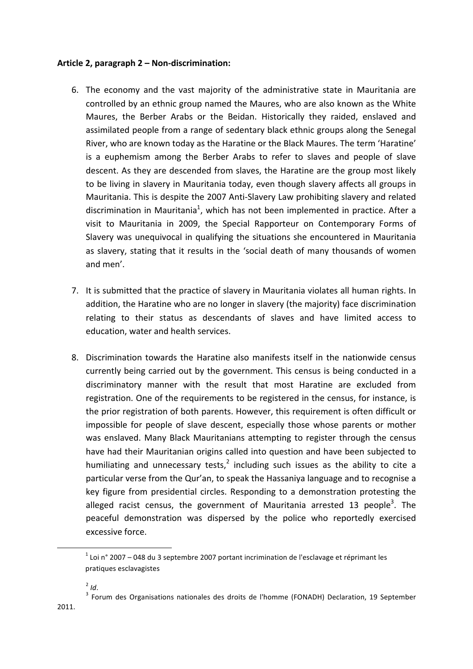### **Article 2, paragraph 2 – Non-discrimination:**

- 6. The economy and the vast majority of the administrative state in Mauritania are controlled by an ethnic group named the Maures, who are also known as the White Maures, the Berber Arabs or the Beidan. Historically they raided, enslaved and assimilated people from a range of sedentary black ethnic groups along the Senegal River, who are known today as the Haratine or the Black Maures. The term 'Haratine' is a euphemism among the Berber Arabs to refer to slaves and people of slave descent. As they are descended from slaves, the Haratine are the group most likely to be living in slavery in Mauritania today, even though slavery affects all groups in Mauritania. This is despite the 2007 Anti-Slavery Law prohibiting slavery and related discrimination in Mauritania<sup>1</sup>, which has not been implemented in practice. After a visit to Mauritania in 2009, the Special Rapporteur on Contemporary Forms of Slavery was unequivocal in qualifying the situations she encountered in Mauritania as slavery, stating that it results in the 'social death of many thousands of women and men'.
- 7. It is submitted that the practice of slavery in Mauritania violates all human rights. In addition, the Haratine who are no longer in slavery (the majority) face discrimination relating to their status as descendants of slaves and have limited access to education, water and health services.
- 8. Discrimination towards the Haratine also manifests itself in the nationwide census currently being carried out by the government. This census is being conducted in a discriminatory manner with the result that most Haratine are excluded from registration. One of the requirements to be registered in the census, for instance, is the prior registration of both parents. However, this requirement is often difficult or impossible for people of slave descent, especially those whose parents or mother was enslaved. Many Black Mauritanians attempting to register through the census have had their Mauritanian origins called into question and have been subjected to humiliating and unnecessary tests,<sup>2</sup> including such issues as the ability to cite a particular verse from the Qur'an, to speak the Hassaniya language and to recognise a key figure from presidential circles. Responding to a demonstration protesting the alleged racist census, the government of Mauritania arrested 13 people<sup>3</sup>. The peaceful demonstration was dispersed by the police who reportedly exercised excessive force.

<u> 1989 - Johann Barn, mars ann an t-Amhain an t-Amhain an t-Amhain an t-Amhain an t-Amhain an t-Amhain an t-Amh</u>

 $1$  Loi n° 2007 – 048 du 3 septembre 2007 portant incrimination de l'esclavage et réprimant les pratiques esclavagistes

<sup>&</sup>lt;sup>2</sup> *Id*.<br><sup>3</sup> Forum des Organisations nationales des droits de l'homme (FONADH) Declaration, 19 September 2011.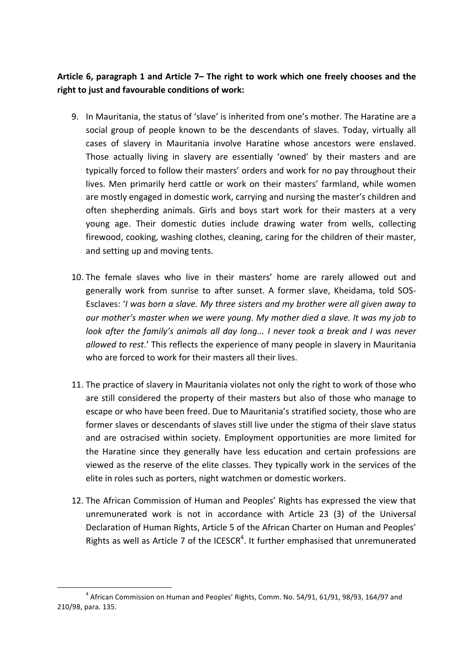## Article 6, paragraph 1 and Article 7– The right to work which one freely chooses and the right to just and favourable conditions of work:

- 9. In Mauritania, the status of 'slave' is inherited from one's mother. The Haratine are a social group of people known to be the descendants of slaves. Today, virtually all cases of slavery in Mauritania involve Haratine whose ancestors were enslaved. Those actually living in slavery are essentially 'owned' by their masters and are typically forced to follow their masters' orders and work for no pay throughout their lives. Men primarily herd cattle or work on their masters' farmland, while women are mostly engaged in domestic work, carrying and nursing the master's children and often shepherding animals. Girls and boys start work for their masters at a very young age. Their domestic duties include drawing water from wells, collecting firewood, cooking, washing clothes, cleaning, caring for the children of their master, and setting up and moving tents.
- 10. The female slaves who live in their masters' home are rarely allowed out and generally work from sunrise to after sunset. A former slave, Kheidama, told SOS-Esclaves: '*I* was born a slave. My three sisters and my brother were all given away to *our* mother's master when we were young. My mother died a slave. It was my job to *look* after the family's animals all day long... I never took a break and I was never *allowed to rest*.' This reflects the experience of many people in slavery in Mauritania who are forced to work for their masters all their lives.
- 11. The practice of slavery in Mauritania violates not only the right to work of those who are still considered the property of their masters but also of those who manage to escape or who have been freed. Due to Mauritania's stratified society, those who are former slaves or descendants of slaves still live under the stigma of their slave status and are ostracised within society. Employment opportunities are more limited for the Haratine since they generally have less education and certain professions are viewed as the reserve of the elite classes. They typically work in the services of the elite in roles such as porters, night watchmen or domestic workers.
- 12. The African Commission of Human and Peoples' Rights has expressed the view that unremunerated work is not in accordance with Article 23 (3) of the Universal Declaration of Human Rights, Article 5 of the African Charter on Human and Peoples' Rights as well as Article 7 of the ICESCR<sup>4</sup>. It further emphasised that unremunerated

<u> 1989 - Johann Barn, mars ann an t-Amhain an t-Amhain an t-Amhain an t-Amhain an t-Amhain an t-Amhain an t-Amh</u>

 $4$  African Commission on Human and Peoples' Rights, Comm. No. 54/91, 61/91, 98/93, 164/97 and 210/98, para. 135.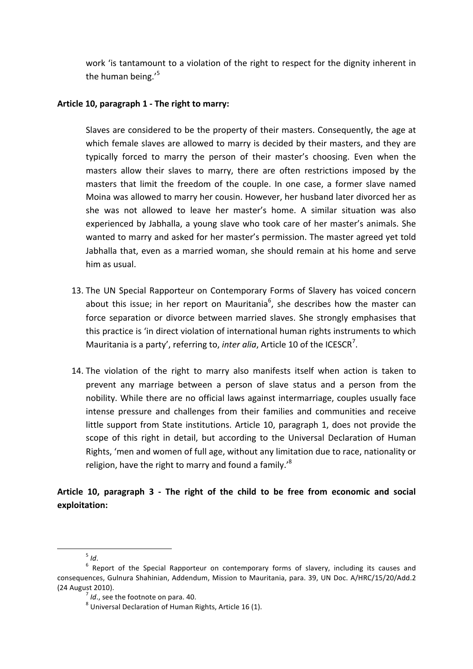work 'is tantamount to a violation of the right to respect for the dignity inherent in the human being. $15$ 

## Article 10, paragraph 1 - The right to marry:

Slaves are considered to be the property of their masters. Consequently, the age at which female slaves are allowed to marry is decided by their masters, and they are typically forced to marry the person of their master's choosing. Even when the masters allow their slaves to marry, there are often restrictions imposed by the masters that limit the freedom of the couple. In one case, a former slave named Moina was allowed to marry her cousin. However, her husband later divorced her as she was not allowed to leave her master's home. A similar situation was also experienced by Jabhalla, a young slave who took care of her master's animals. She wanted to marry and asked for her master's permission. The master agreed yet told Jabhalla that, even as a married woman, she should remain at his home and serve him as usual.

- 13. The UN Special Rapporteur on Contemporary Forms of Slavery has voiced concern about this issue; in her report on Mauritania<sup>6</sup>, she describes how the master can force separation or divorce between married slaves. She strongly emphasises that this practice is 'in direct violation of international human rights instruments to which Mauritania is a party', referring to, *inter alia*, Article 10 of the ICESCR<sup>7</sup>.
- 14. The violation of the right to marry also manifests itself when action is taken to prevent any marriage between a person of slave status and a person from the nobility. While there are no official laws against intermarriage, couples usually face intense pressure and challenges from their families and communities and receive little support from State institutions. Article 10, paragraph 1, does not provide the scope of this right in detail, but according to the Universal Declaration of Human Rights, 'men and women of full age, without any limitation due to race, nationality or religion, have the right to marry and found a family.' $^8$

## Article 10, paragraph 3 - The right of the child to be free from economic and social **exploitation:**

<sup>&</sup>lt;u> 1989 - Johann Barn, mars ann an t-Amhain an t-Amhain an t-Amhain an t-Amhain an t-Amhain an t-Amhain an t-Amh</u>

<sup>&</sup>lt;sup>5</sup> *Id*.<br><sup>6</sup> Report of the Special Rapporteur on contemporary forms of slavery, including its causes and consequences, Gulnura Shahinian, Addendum, Mission to Mauritania, para. 39, UN Doc. A/HRC/15/20/Add.2 (24 August 2010). *7 Id.*, see the footnote on para. 40. **8** Universal Declaration of Human Rights, Article 16 (1).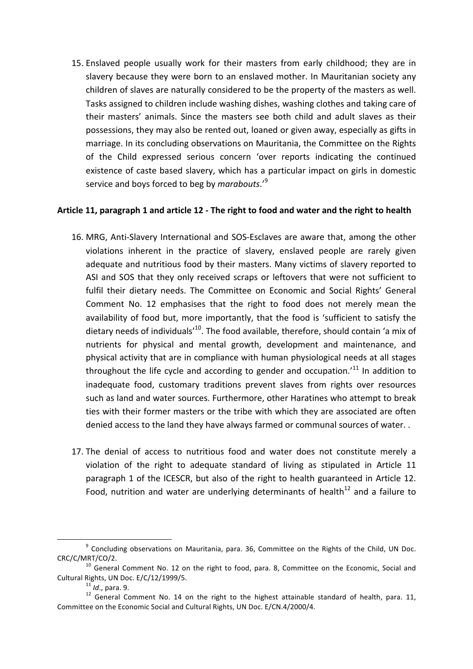15. Enslaved people usually work for their masters from early childhood; they are in slavery because they were born to an enslaved mother. In Mauritanian society any children of slaves are naturally considered to be the property of the masters as well. Tasks assigned to children include washing dishes, washing clothes and taking care of their masters' animals. Since the masters see both child and adult slaves as their possessions, they may also be rented out, loaned or given away, especially as gifts in marriage. In its concluding observations on Mauritania, the Committee on the Rights of the Child expressed serious concern 'over reports indicating the continued existence of caste based slavery, which has a particular impact on girls in domestic service and boys forced to beg by *marabouts*.<sup>'9</sup>

## Article 11, paragraph 1 and article 12 - The right to food and water and the right to health

- 16. MRG, Anti-Slavery International and SOS-Esclaves are aware that, among the other violations inherent in the practice of slavery, enslaved people are rarely given adequate and nutritious food by their masters. Many victims of slavery reported to ASI and SOS that they only received scraps or leftovers that were not sufficient to fulfil their dietary needs. The Committee on Economic and Social Rights' General Comment No. 12 emphasises that the right to food does not merely mean the availability of food but, more importantly, that the food is 'sufficient to satisfy the dietary needs of individuals<sup>'10</sup>. The food available, therefore, should contain 'a mix of nutrients for physical and mental growth, development and maintenance, and physical activity that are in compliance with human physiological needs at all stages throughout the life cycle and according to gender and occupation.<sup>'11</sup> In addition to inadequate food, customary traditions prevent slaves from rights over resources such as land and water sources. Furthermore, other Haratines who attempt to break ties with their former masters or the tribe with which they are associated are often denied access to the land they have always farmed or communal sources of water. .
- 17. The denial of access to nutritious food and water does not constitute merely a violation of the right to adequate standard of living as stipulated in Article 11 paragraph 1 of the ICESCR, but also of the right to health guaranteed in Article 12. Food, nutrition and water are underlying determinants of health<sup>12</sup> and a failure to

<u> 1989 - Johann Barn, mars eta bainar eta industrial eta baina eta baina eta baina eta baina eta baina eta bain</u>

 $9$  Concluding observations on Mauritania, para. 36, Committee on the Rights of the Child, UN Doc. CRC/C/MRT/CO/2.<br> $^{10}$  General Comment No. 12 on the right to food, para. 8, Committee on the Economic, Social and

Cultural Rights, UN Doc. E/C/12/1999/5.<br><sup>11</sup> *Id.*, para. 9. <sup>12</sup> General Comment No. 14 on the right to the highest attainable standard of health, para. 11, Committee on the Economic Social and Cultural Rights, UN Doc. E/CN.4/2000/4.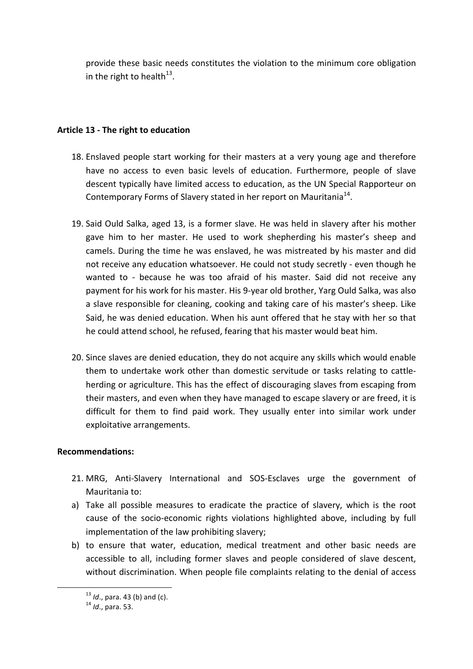provide these basic needs constitutes the violation to the minimum core obligation in the right to health<sup>13</sup>.

## Article 13 - The right to education

- 18. Enslaved people start working for their masters at a very young age and therefore have no access to even basic levels of education. Furthermore, people of slave descent typically have limited access to education, as the UN Special Rapporteur on Contemporary Forms of Slavery stated in her report on Mauritania<sup>14</sup>.
- 19. Said Ould Salka, aged 13, is a former slave. He was held in slavery after his mother gave him to her master. He used to work shepherding his master's sheep and camels. During the time he was enslaved, he was mistreated by his master and did not receive any education whatsoever. He could not study secretly - even though he wanted to - because he was too afraid of his master. Said did not receive any payment for his work for his master. His 9-year old brother, Yarg Ould Salka, was also a slave responsible for cleaning, cooking and taking care of his master's sheep. Like Said, he was denied education. When his aunt offered that he stay with her so that he could attend school, he refused, fearing that his master would beat him.
- 20. Since slaves are denied education, they do not acquire any skills which would enable them to undertake work other than domestic servitude or tasks relating to cattleherding or agriculture. This has the effect of discouraging slaves from escaping from their masters, and even when they have managed to escape slavery or are freed, it is difficult for them to find paid work. They usually enter into similar work under exploitative arrangements.

#### **Recommendations:**

- 21. MRG, Anti-Slavery International and SOS-Esclaves urge the government of Mauritania to:
- a) Take all possible measures to eradicate the practice of slavery, which is the root cause of the socio-economic rights violations highlighted above, including by full implementation of the law prohibiting slavery;
- b) to ensure that water, education, medical treatment and other basic needs are accessible to all, including former slaves and people considered of slave descent, without discrimination. When people file complaints relating to the denial of access

<u> 1989 - Johann Barn, mars ann an t-Amhain an t-Amhain an t-Amhain an t-Amhain an t-Amhain an t-Amhain an t-Amh</u>

<sup>&</sup>lt;sup>13</sup> *Id.*, para. 43 (b) and (c).<br><sup>14</sup> *Id.*, para. 53.